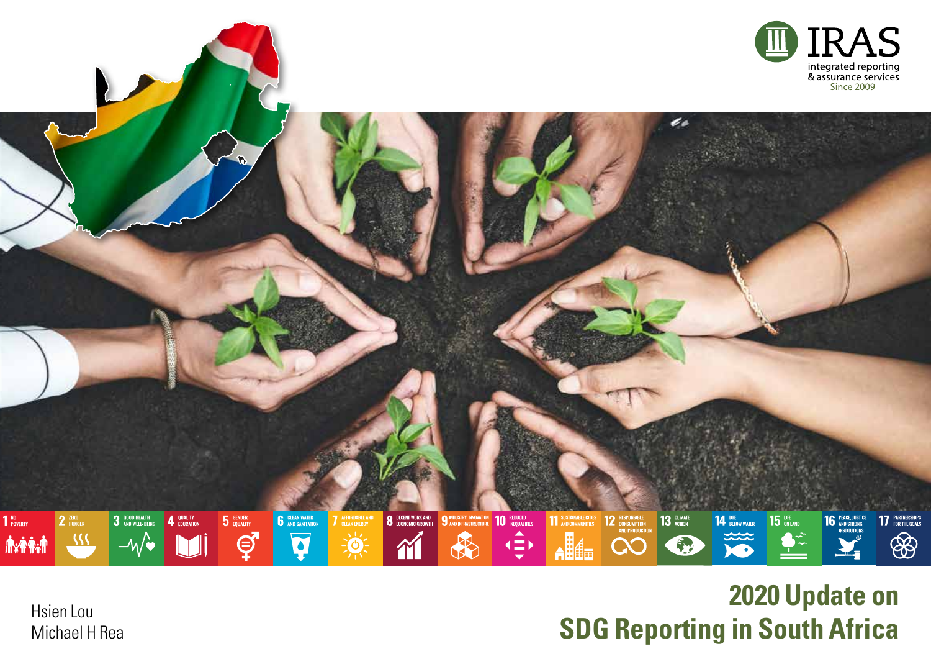

# **2020 Update on SDG Reporting in South Africa**

Hsien Lou Michael H Rea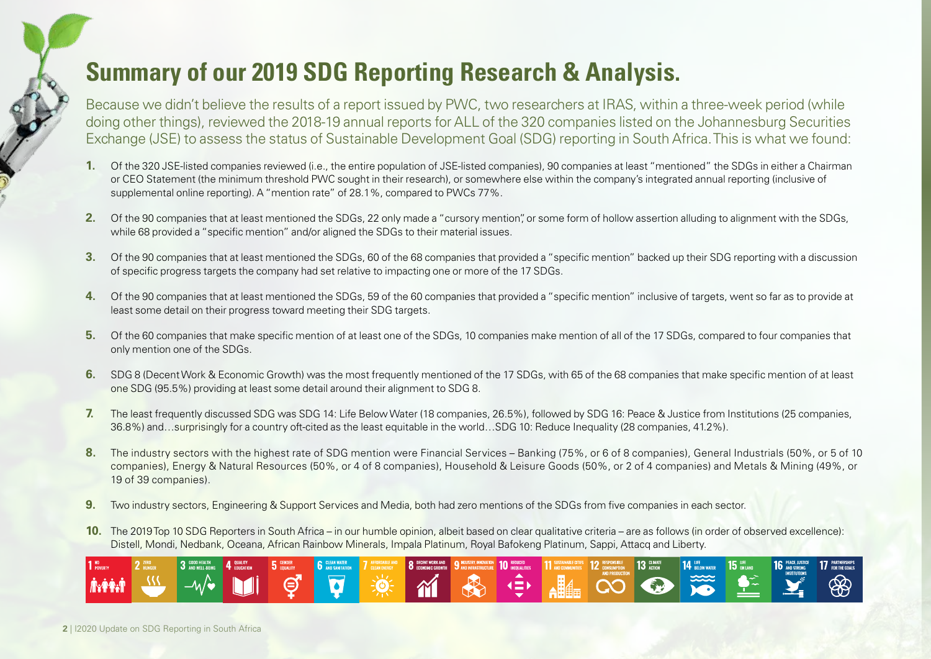## **Summary of our 2019 SDG Reporting Research & Analysis.**

Because we didn't believe the results of a report issued by PWC, two researchers at IRAS, within a three-week period (while doing other things), reviewed the 2018-19 annual reports for ALL of the 320 companies listed on the Johannesburg Securities Exchange (JSE) to assess the status of Sustainable Development Goal (SDG) reporting in South Africa. This is what we found:

- **1.** Of the 320 JSE-listed companies reviewed (i.e., the entire population of JSE-listed companies), 90 companies at least "mentioned" the SDGs in either a Chairman or CEO Statement (the minimum threshold PWC sought in their research), or somewhere else within the company's integrated annual reporting (inclusive of supplemental online reporting). A "mention rate" of 28.1%, compared to PWCs 77%.
- **2.** Of the 90 companies that at least mentioned the SDGs, 22 only made a "cursory mention", or some form of hollow assertion alluding to alignment with the SDGs, while 68 provided a "specific mention" and/or aligned the SDGs to their material issues.
- **3.** Of the 90 companies that at least mentioned the SDGs, 60 of the 68 companies that provided a "specific mention" backed up their SDG reporting with a discussion of specific progress targets the company had set relative to impacting one or more of the 17 SDGs.
- **4.** Of the 90 companies that at least mentioned the SDGs, 59 of the 60 companies that provided a "specific mention" inclusive of targets, went so far as to provide at least some detail on their progress toward meeting their SDG targets.
- **5.** Of the 60 companies that make specific mention of at least one of the SDGs, 10 companies make mention of all of the 17 SDGs, compared to four companies that only mention one of the SDGs.
- **6.** SDG 8 (Decent Work & Economic Growth) was the most frequently mentioned of the 17 SDGs, with 65 of the 68 companies that make specific mention of at least one SDG (95.5%) providing at least some detail around their alignment to SDG 8.
- **7.** The least frequently discussed SDG was SDG 14: Life Below Water (18 companies, 26.5%), followed by SDG 16: Peace & Justice from Institutions (25 companies, 36.8%) and…surprisingly for a country oft-cited as the least equitable in the world…SDG 10: Reduce Inequality (28 companies, 41.2%).
- **8.** The industry sectors with the highest rate of SDG mention were Financial Services Banking (75%, or 6 of 8 companies), General Industrials (50%, or 5 of 10 companies), Energy & Natural Resources (50%, or 4 of 8 companies), Household & Leisure Goods (50%, or 2 of 4 companies) and Metals & Mining (49%, or 19 of 39 companies).
- **9.** Two industry sectors, Engineering & Support Services and Media, both had zero mentions of the SDGs from five companies in each sector.
- **10.** The 2019 Top 10 SDG Reporters in South Africa in our humble opinion, albeit based on clear qualitative criteria are as follows (in order of observed excellence): Distell, Mondi, Nedbank, Oceana, African Rainbow Minerals, Impala Platinum, Royal Bafokeng Platinum, Sappi, Attacq and Liberty.

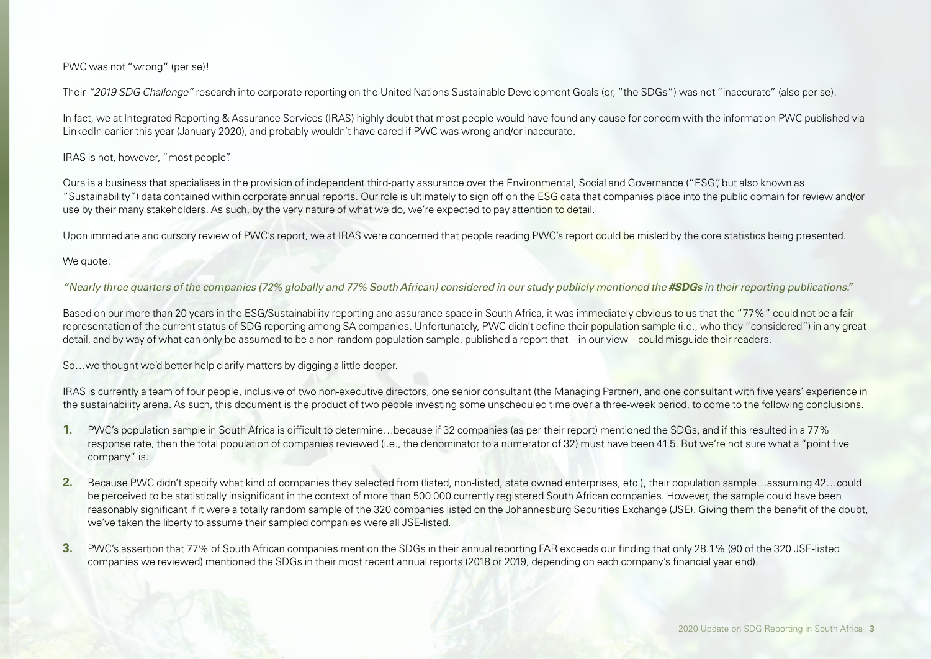### PWC was not "wrong" (per se)!

Their *"2019 SDG Challenge"* research into corporate reporting on the United Nations Sustainable Development Goals (or, "the SDGs") was not "inaccurate" (also per se).

In fact, we at Integrated Reporting & Assurance Services (IRAS) highly doubt that most people would have found any cause for concern with the information PWC published via LinkedIn earlier this year (January 2020), and probably wouldn't have cared if PWC was wrong and/or inaccurate.

### IRAS is not, however, "most people".

Ours is a business that specialises in the provision of independent third-party assurance over the Environmental, Social and Governance ("ESG", but also known as "Sustainability") data contained within corporate annual reports. Our role is ultimately to sign off on the ESG data that companies place into the public domain for review and/or use by their many stakeholders. As such, by the very nature of what we do, we're expected to pay attention to detail.

Upon immediate and cursory review of PWC's report, we at IRAS were concerned that people reading PWC's report could be misled by the core statistics being presented.

#### We quote:

*"Nearly three quarters of the companies (72% globally and 77% South African) considered in our study publicly mentioned the #SDGs in their reporting publications."*

Based on our more than 20 years in the ESG/Sustainability reporting and assurance space in South Africa, it was immediately obvious to us that the "77%" could not be a fair representation of the current status of SDG reporting among SA companies. Unfortunately, PWC didn't define their population sample (i.e., who they "considered") in any great detail, and by way of what can only be assumed to be a non-random population sample, published a report that – in our view – could misguide their readers.

So…we thought we'd better help clarify matters by digging a little deeper.

IRAS is currently a team of four people, inclusive of two non-executive directors, one senior consultant (the Managing Partner), and one consultant with five years' experience in the sustainability arena. As such, this document is the product of two people investing some unscheduled time over a three-week period, to come to the following conclusions.

- **1.** PWC's population sample in South Africa is difficult to determine…because if 32 companies (as per their report) mentioned the SDGs, and if this resulted in a 77% response rate, then the total population of companies reviewed (i.e., the denominator to a numerator of 32) must have been 41.5. But we're not sure what a "point five company" is.
- **2.** Because PWC didn't specify what kind of companies they selected from (listed, non-listed, state owned enterprises, etc.), their population sample…assuming 42…could be perceived to be statistically insignificant in the context of more than 500 000 currently registered South African companies. However, the sample could have been reasonably significant if it were a totally random sample of the 320 companies listed on the Johannesburg Securities Exchange (JSE). Giving them the benefit of the doubt, we've taken the liberty to assume their sampled companies were all JSE-listed.
- **3.** PWC's assertion that 77% of South African companies mention the SDGs in their annual reporting FAR exceeds our finding that only 28.1% (90 of the 320 JSE-listed companies we reviewed) mentioned the SDGs in their most recent annual reports (2018 or 2019, depending on each company's financial year end).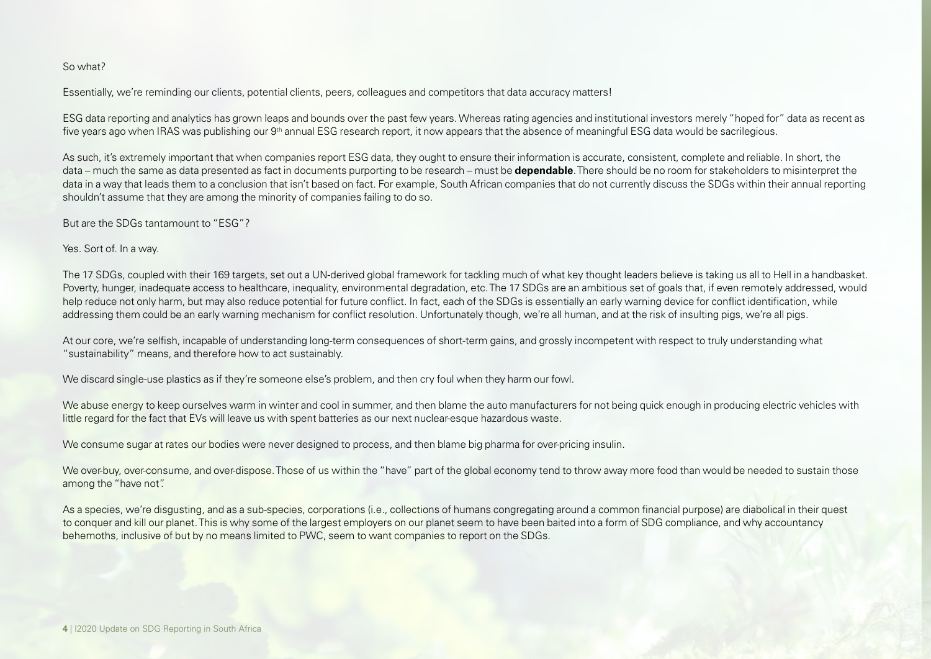### So what?

Essentially, we're reminding our clients, potential clients, peers, colleagues and competitors that data accuracy matters!

ESG data reporting and analytics has grown leaps and bounds over the past few years. Whereas rating agencies and institutional investors merely "hoped for" data as recent as five years ago when IRAS was publishing our 9<sup>th</sup> annual ESG research report, it now appears that the absence of meaningful ESG data would be sacrilegious.

As such, it's extremely important that when companies report ESG data, they ought to ensure their information is accurate, consistent, complete and reliable. In short, the data – much the same as data presented as fact in documents purporting to be research – must be **dependable**. There should be no room for stakeholders to misinterpret the data in a way that leads them to a conclusion that isn't based on fact. For example, South African companies that do not currently discuss the SDGs within their annual reporting shouldn't assume that they are among the minority of companies failing to do so.

But are the SDGs tantamount to "ESG"?

Yes. Sort of. In a way.

The 17 SDGs, coupled with their 169 targets, set out a UN-derived global framework for tackling much of what key thought leaders believe is taking us all to Hell in a handbasket. Poverty, hunger, inadequate access to healthcare, inequality, environmental degradation, etc. The 17 SDGs are an ambitious set of goals that, if even remotely addressed, would help reduce not only harm, but may also reduce potential for future conflict. In fact, each of the SDGs is essentially an early warning device for conflict identification, while addressing them could be an early warning mechanism for conflict resolution. Unfortunately though, we're all human, and at the risk of insulting pigs, we're all pigs.

At our core, we're selfish, incapable of understanding long-term consequences of short-term gains, and grossly incompetent with respect to truly understanding what "sustainability" means, and therefore how to act sustainably.

We discard single-use plastics as if they're someone else's problem, and then cry foul when they harm our fowl.

We abuse energy to keep ourselves warm in winter and cool in summer, and then blame the auto manufacturers for not being quick enough in producing electric vehicles with little regard for the fact that EVs will leave us with spent batteries as our next nuclear-esque hazardous waste.

We consume sugar at rates our bodies were never designed to process, and then blame big pharma for over-pricing insulin.

We over-buy, over-consume, and over-dispose. Those of us within the "have" part of the global economy tend to throw away more food than would be needed to sustain those among the "have not".

As a species, we're disgusting, and as a sub-species, corporations (i.e., collections of humans congregating around a common financial purpose) are diabolical in their quest to conquer and kill our planet. This is why some of the largest employers on our planet seem to have been baited into a form of SDG compliance, and why accountancy behemoths, inclusive of but by no means limited to PWC, seem to want companies to report on the SDGs.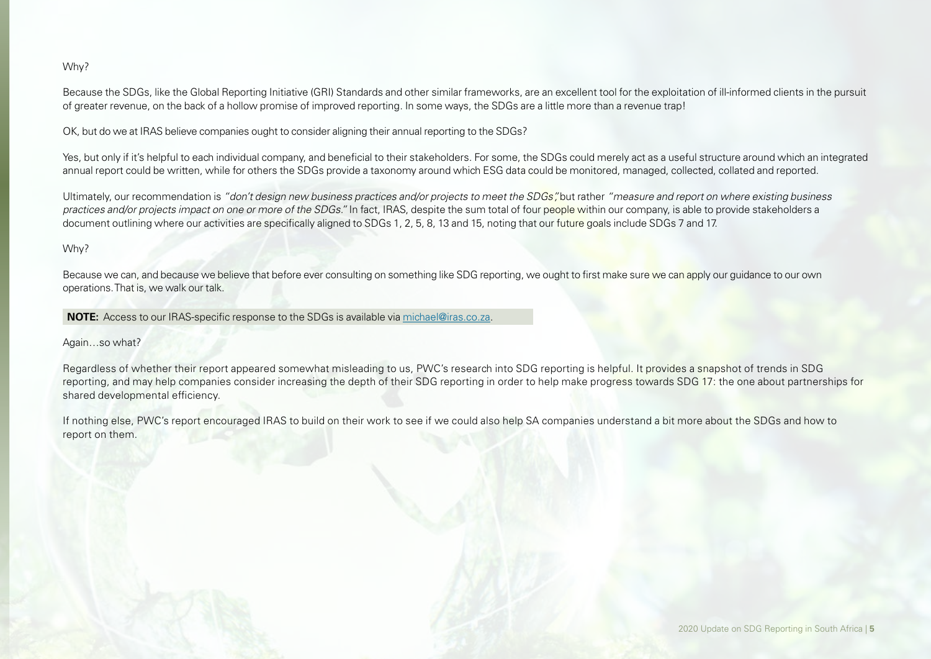### Why?

Because the SDGs, like the Global Reporting Initiative (GRI) Standards and other similar frameworks, are an excellent tool for the exploitation of ill-informed clients in the pursuit of greater revenue, on the back of a hollow promise of improved reporting. In some ways, the SDGs are a little more than a revenue trap!

OK, but do we at IRAS believe companies ought to consider aligning their annual reporting to the SDGs?

Yes, but only if it's helpful to each individual company, and beneficial to their stakeholders. For some, the SDGs could merely act as a useful structure around which an integrated annual report could be written, while for others the SDGs provide a taxonomy around which ESG data could be monitored, managed, collected, collated and reported.

Ultimately, our recommendation is *"don't design new business practices and/or projects to meet the SDGs",* but rather *"measure and report on where existing business practices and/or projects impact on one or more of the SDGs."* In fact, IRAS, despite the sum total of four people within our company, is able to provide stakeholders a document outlining where our activities are specifically aligned to SDGs 1, 2, 5, 8, 13 and 15, noting that our future goals include SDGs 7 and 17.

### Why?

Because we can, and because we believe that before ever consulting on something like SDG reporting, we ought to first make sure we can apply our guidance to our own operations. That is, we walk our talk.

**NOTE:** Access to our IRAS-specific response to the SDGs is available via michael@iras.co.za.

### Again…so what?

Regardless of whether their report appeared somewhat misleading to us, PWC's research into SDG reporting is helpful. It provides a snapshot of trends in SDG reporting, and may help companies consider increasing the depth of their SDG reporting in order to help make progress towards SDG 17: the one about partnerships for shared developmental efficiency.

If nothing else, PWC's report encouraged IRAS to build on their work to see if we could also help SA companies understand a bit more about the SDGs and how to report on them.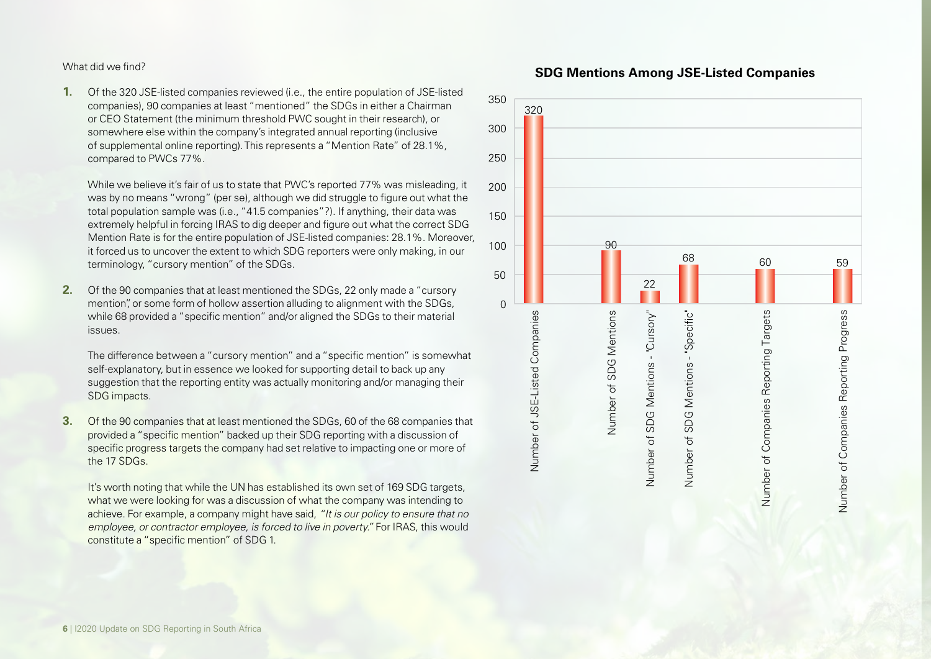What did we find?

**1.** Of the 320 JSE-listed companies reviewed (i.e., the entire population of JSE-listed companies), 90 companies at least "mentioned" the SDGs in either a Chairman or CEO Statement (the minimum threshold PWC sought in their research), or somewhere else within the company's integrated annual reporting (inclusive of supplemental online reporting). This represents a "Mention Rate" of 28.1%, compared to PWCs 77%.

While we believe it's fair of us to state that PWC's reported 77% was misleading, it was by no means "wrong" (per se), although we did struggle to figure out what the total population sample was (i.e., "41.5 companies"?). If anything, their data was extremely helpful in forcing IRAS to dig deeper and figure out what the correct SDG Mention Rate is for the entire population of JSE-listed companies: 28.1%. Moreover, it forced us to uncover the extent to which SDG reporters were only making, in our terminology, "cursory mention" of the SDGs.

**2.** Of the 90 companies that at least mentioned the SDGs, 22 only made a "cursory mention" or some form of hollow assertion alluding to alignment with the SDGs. while 68 provided a "specific mention" and/or aligned the SDGs to their material issues.

The difference between a "cursory mention" and a "specific mention" is somewhat self-explanatory, but in essence we looked for supporting detail to back up any suggestion that the reporting entity was actually monitoring and/or managing their SDG impacts.

**3.** Of the 90 companies that at least mentioned the SDGs, 60 of the 68 companies that provided a "specific mention" backed up their SDG reporting with a discussion of specific progress targets the company had set relative to impacting one or more of the 17 SDGs.

It's worth noting that while the UN has established its own set of 169 SDG targets, what we were looking for was a discussion of what the company was intending to achieve. For example, a company might have said, *"It is our policy to ensure that no employee, or contractor employee, is forced to live in poverty."* For IRAS, this would constitute a "specific mention" of SDG 1.



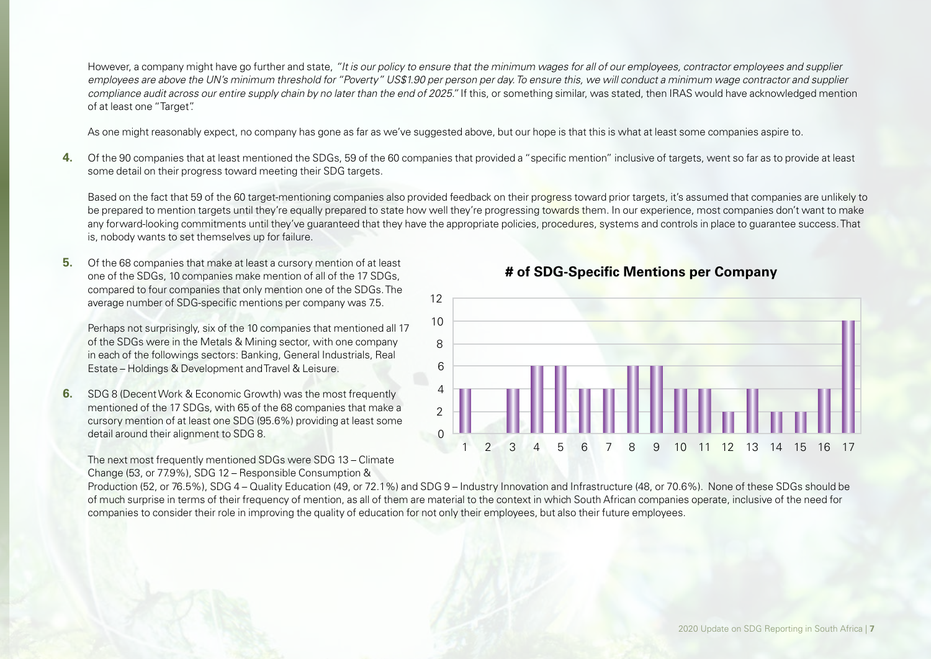However, a company might have go further and state, *"It is our policy to ensure that the minimum wages for all of our employees, contractor employees and supplier employees are above the UN's minimum threshold for "Poverty" US\$1.90 per person per day. To ensure this, we will conduct a minimum wage contractor and supplier compliance audit across our entire supply chain by no later than the end of 2025."* If this, or something similar, was stated, then IRAS would have acknowledged mention of at least one "Target".

As one might reasonably expect, no company has gone as far as we've suggested above, but our hope is that this is what at least some companies aspire to.

**4.** Of the 90 companies that at least mentioned the SDGs, 59 of the 60 companies that provided a "specific mention" inclusive of targets, went so far as to provide at least some detail on their progress toward meeting their SDG targets.

Based on the fact that 59 of the 60 target-mentioning companies also provided feedback on their progress toward prior targets, it's assumed that companies are unlikely to be prepared to mention targets until they're equally prepared to state how well they're progressing towards them. In our experience, most companies don't want to make any forward-looking commitments until they've guaranteed that they have the appropriate policies, procedures, systems and controls in place to quarantee success. That is, nobody wants to set themselves up for failure.

**5.** Of the 68 companies that make at least a cursory mention of at least one of the SDGs, 10 companies make mention of all of the 17 SDGs, compared to four companies that only mention one of the SDGs. The average number of SDG-specific mentions per company was 7.5.

Perhaps not surprisingly, six of the 10 companies that mentioned all 17 of the SDGs were in the Metals & Mining sector, with one company in each of the followings sectors: Banking, General Industrials, Real Estate – Holdings & Development and Travel & Leisure.

**6.** SDG 8 (Decent Work & Economic Growth) was the most frequently mentioned of the 17 SDGs, with 65 of the 68 companies that make a cursory mention of at least one SDG (95.6%) providing at least some detail around their alignment to SDG 8.

The next most frequently mentioned SDGs were SDG 13 – Climate Change (53, or 77.9%), SDG 12 – Responsible Consumption &

**# of SDG-Specific Mentions per Company** 



Production (52, or 76.5%), SDG 4 – Quality Education (49, or 72.1%) and SDG 9 – Industry Innovation and Infrastructure (48, or 70.6%). None of these SDGs should be of much surprise in terms of their frequency of mention, as all of them are material to the context in which South African companies operate, inclusive of the need for companies to consider their role in improving the quality of education for not only their employees, but also their future employees.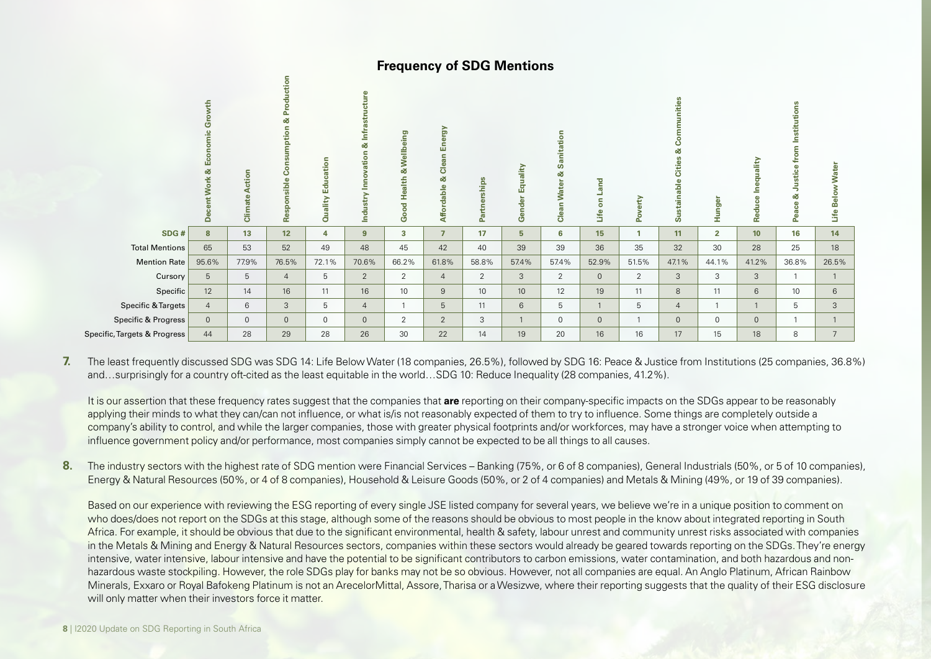## **Frequency of SDG Mentions**

|                                                                                                                                                                                                                                                                                                                                                                                                                                                                                                                                                                                                                                                                                                                                                                                                                                                                                                                                                                                                                                                                                                                                                                                                                                                                                                                                                                                                                                                                                                                                                                                                                                | Decent Work & Economic Growth | <b>Climate Action</b> | Responsible Consumption & Production | Quality Education | Industry Innovation & Infrastructure | Good Health & Wellbeing | Affordable & Clean Energy     | Partnerships | Gender Equality | <b>Clean Water &amp; Sanitation</b> | Life on Land       | Poverty        | Sustainable Cities & Communities | Hunger         | Reduce Inequality | Peace & Justice from Institutions | Life Below Water     |
|--------------------------------------------------------------------------------------------------------------------------------------------------------------------------------------------------------------------------------------------------------------------------------------------------------------------------------------------------------------------------------------------------------------------------------------------------------------------------------------------------------------------------------------------------------------------------------------------------------------------------------------------------------------------------------------------------------------------------------------------------------------------------------------------------------------------------------------------------------------------------------------------------------------------------------------------------------------------------------------------------------------------------------------------------------------------------------------------------------------------------------------------------------------------------------------------------------------------------------------------------------------------------------------------------------------------------------------------------------------------------------------------------------------------------------------------------------------------------------------------------------------------------------------------------------------------------------------------------------------------------------|-------------------------------|-----------------------|--------------------------------------|-------------------|--------------------------------------|-------------------------|-------------------------------|--------------|-----------------|-------------------------------------|--------------------|----------------|----------------------------------|----------------|-------------------|-----------------------------------|----------------------|
| SDG#                                                                                                                                                                                                                                                                                                                                                                                                                                                                                                                                                                                                                                                                                                                                                                                                                                                                                                                                                                                                                                                                                                                                                                                                                                                                                                                                                                                                                                                                                                                                                                                                                           | $\boldsymbol{8}$              | 13                    | 12                                   | $\overline{4}$    | $\overline{9}$                       | $\overline{\mathbf{3}}$ | $\overline{7}$                | 17           | $5\overline{5}$ | $6\phantom{a}$                      | 15                 | $\overline{1}$ | 11                               | $\overline{2}$ | 10                | 16                                | 14                   |
| <b>Total Mentions</b>                                                                                                                                                                                                                                                                                                                                                                                                                                                                                                                                                                                                                                                                                                                                                                                                                                                                                                                                                                                                                                                                                                                                                                                                                                                                                                                                                                                                                                                                                                                                                                                                          | 65                            | 53                    | 52                                   | 49                | 48                                   | 45                      | 42                            | 40           | 39              | 39                                  | 36                 | 35             | 32                               | 30             | 28                | 25                                | 18                   |
| <b>Mention Rate</b>                                                                                                                                                                                                                                                                                                                                                                                                                                                                                                                                                                                                                                                                                                                                                                                                                                                                                                                                                                                                                                                                                                                                                                                                                                                                                                                                                                                                                                                                                                                                                                                                            | 95.6%                         | 77.9%                 | 76.5%                                | 72.1%             | 70.6%                                | 66.2%                   | 61.8%                         | 58.8%        | 57.4%           | 57.4%                               | 52.9%              | 51.5%          | 47.1%                            | 44.1%          | 41.2%             | 36.8%                             | 26.5%                |
| Cursory                                                                                                                                                                                                                                                                                                                                                                                                                                                                                                                                                                                                                                                                                                                                                                                                                                                                                                                                                                                                                                                                                                                                                                                                                                                                                                                                                                                                                                                                                                                                                                                                                        | $5\phantom{.0}$<br>12         | 5                     | $\overline{4}$                       | 5<br>11           | $\overline{2}$<br>16                 | $\overline{2}$<br>10    | $\overline{4}$<br>$\mathsf g$ | 2<br>10      | 3<br>10         | $\overline{2}$                      | $\mathbf{0}$<br>19 | 2<br>11        | $\mathbf{3}$<br>8                | 3<br>11        | $\mathbf{3}$<br>6 | $\overline{1}$<br>10              | $\overline{1}$       |
| Specific<br><b>Specific &amp; Targets</b>                                                                                                                                                                                                                                                                                                                                                                                                                                                                                                                                                                                                                                                                                                                                                                                                                                                                                                                                                                                                                                                                                                                                                                                                                                                                                                                                                                                                                                                                                                                                                                                      | $\overline{4}$                | 14<br>6               | 16<br>$\mathbf{3}$                   | 5                 | $\overline{4}$                       | $\mathbf{1}$            | 5                             | 11           | $6\phantom{1}$  | 12<br>5                             | $\mathbf{1}$       | 5              | $\overline{4}$                   | $\mathbf{1}$   | $\mathbf{1}$      | 5                                 | $6\phantom{.}6$<br>3 |
| <b>Specific &amp; Progress</b>                                                                                                                                                                                                                                                                                                                                                                                                                                                                                                                                                                                                                                                                                                                                                                                                                                                                                                                                                                                                                                                                                                                                                                                                                                                                                                                                                                                                                                                                                                                                                                                                 | $\mathbf 0$                   | $\mathbb O$           | $\mathbf 0$                          | $\mathbf 0$       | $\mathbf{0}$                         | 2                       | $\overline{2}$                | 3            | $\mathbf{1}$    | $\mathsf{O}\xspace$                 | $\mathbf{0}$       | $\mathbf{1}$   | $\mathbf{0}$                     | $\mathbf 0$    | $\mathbf{0}$      | $\mathbf{1}$                      | $\overline{1}$       |
| Specific, Targets & Progress                                                                                                                                                                                                                                                                                                                                                                                                                                                                                                                                                                                                                                                                                                                                                                                                                                                                                                                                                                                                                                                                                                                                                                                                                                                                                                                                                                                                                                                                                                                                                                                                   | 44                            | 28                    | 29                                   | 28                | 26                                   | 30                      | 22                            | 14           | 19              | $20\,$                              | 16                 | 16             | 17                               | 15             | 18                | 8                                 | $\overline{7}$       |
| The least frequently discussed SDG was SDG 14: Life Below Water (18 companies, 26.5%), followed by SDG 16: Peace & Justice from Institutions (25 companies, 36.8%)<br>andsurprisingly for a country oft-cited as the least equitable in the worldSDG 10: Reduce Inequality (28 companies, 41.2%).<br>It is our assertion that these frequency rates suggest that the companies that are reporting on their company-specific impacts on the SDGs appear to be reasonably<br>applying their minds to what they can/can not influence, or what is/is not reasonably expected of them to try to influence. Some things are completely outside a<br>company's ability to control, and while the larger companies, those with greater physical footprints and/or workforces, may have a stronger voice when attempting to<br>influence government policy and/or performance, most companies simply cannot be expected to be all things to all causes.                                                                                                                                                                                                                                                                                                                                                                                                                                                                                                                                                                                                                                                                                |                               |                       |                                      |                   |                                      |                         |                               |              |                 |                                     |                    |                |                                  |                |                   |                                   |                      |
| The industry sectors with the highest rate of SDG mention were Financial Services - Banking (75%, or 6 of 8 companies), General Industrials (50%, or 5 of 10 companies<br>Energy & Natural Resources (50%, or 4 of 8 companies), Household & Leisure Goods (50%, or 2 of 4 companies) and Metals & Mining (49%, or 19 of 39 companies).<br>Based on our experience with reviewing the ESG reporting of every single JSE listed company for several years, we believe we're in a unique position to comment on<br>who does/does not report on the SDGs at this stage, although some of the reasons should be obvious to most people in the know about integrated reporting in South<br>Africa. For example, it should be obvious that due to the significant environmental, health & safety, labour unrest and community unrest risks associated with companies<br>in the Metals & Mining and Energy & Natural Resources sectors, companies within these sectors would already be geared towards reporting on the SDGs. They're energ<br>intensive, water intensive, labour intensive and have the potential to be significant contributors to carbon emissions, water contamination, and both hazardous and non-<br>hazardous waste stockpiling. However, the role SDGs play for banks may not be so obvious. However, not all companies are equal. An Anglo Platinum, African Rainbow<br>Minerals, Exxaro or Royal Bafokeng Platinum is not an ArecelorMittal, Assore, Tharisa or a Wesizwe, where their reporting suggests that the quality of their ESG disclosur<br>will only matter when their investors force it matter. |                               |                       |                                      |                   |                                      |                         |                               |              |                 |                                     |                    |                |                                  |                |                   |                                   |                      |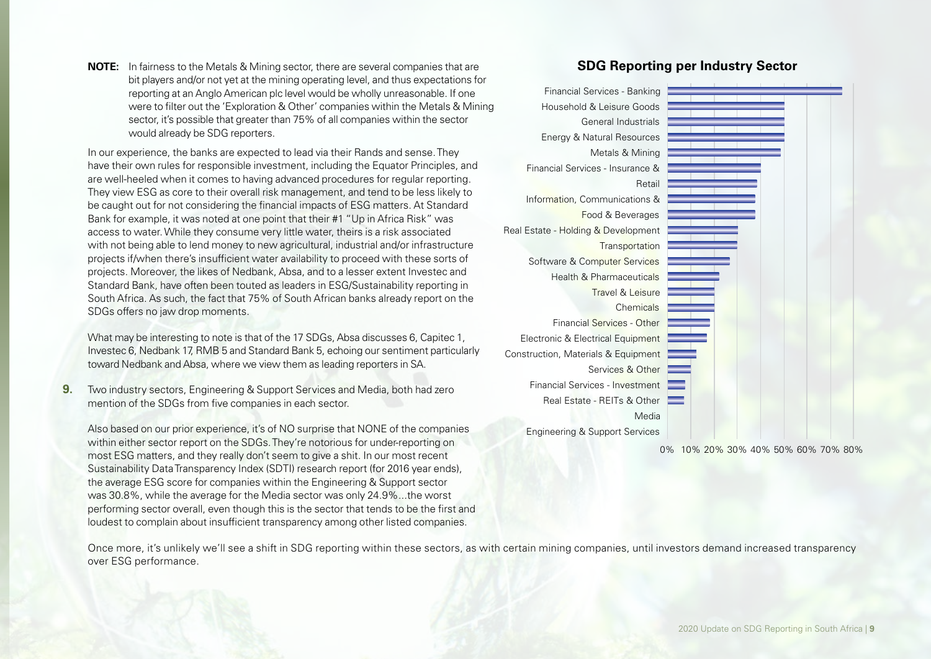**NOTE:** In fairness to the Metals & Mining sector, there are several companies that are bit players and/or not yet at the mining operating level, and thus expectations for reporting at an Anglo American plc level would be wholly unreasonable. If one were to filter out the 'Exploration & Other' companies within the Metals & Mining sector, it's possible that greater than 75% of all companies within the sector would already be SDG reporters.

In our experience, the banks are expected to lead via their Rands and sense. They have their own rules for responsible investment, including the Equator Principles, and are well-heeled when it comes to having advanced procedures for regular reporting. They view ESG as core to their overall risk management, and tend to be less likely to be caught out for not considering the financial impacts of ESG matters. At Standard Bank for example, it was noted at one point that their #1 "Up in Africa Risk" was access to water. While they consume very little water, theirs is a risk associated with not being able to lend money to new agricultural, industrial and/or infrastructure projects if/when there's insufficient water availability to proceed with these sorts of projects. Moreover, the likes of Nedbank, Absa, and to a lesser extent Investec and Standard Bank, have often been touted as leaders in ESG/Sustainability reporting in South Africa. As such, the fact that 75% of South African banks already report on the SDGs offers no jaw drop moments.

What may be interesting to note is that of the 17 SDGs, Absa discusses 6, Capitec 1, Investec 6, Nedbank 17, RMB 5 and Standard Bank 5, echoing our sentiment particularly toward Nedbank and Absa, where we view them as leading reporters in SA.

**9.** Two industry sectors, Engineering & Support Services and Media, both had zero mention of the SDGs from five companies in each sector.

Also based on our prior experience, it's of NO surprise that NONE of the companies within either sector report on the SDGs. They're notorious for under-reporting on most ESG matters, and they really don't seem to give a shit. In our most recent Sustainability Data Transparency Index (SDTI) research report (for 2016 year ends), the average ESG score for companies within the Engineering & Support sector was 30.8%, while the average for the Media sector was only 24.9%...the worst performing sector overall, even though this is the sector that tends to be the first and loudest to complain about insufficient transparency among other listed companies.

## **SDG Reporting per Industry Sector**



0% 10% 20% 30% 40% 50% 60% 70% 80%

Once more, it's unlikely we'll see a shift in SDG reporting within these sectors, as with certain mining companies, until investors demand increased transparency over ESG performance.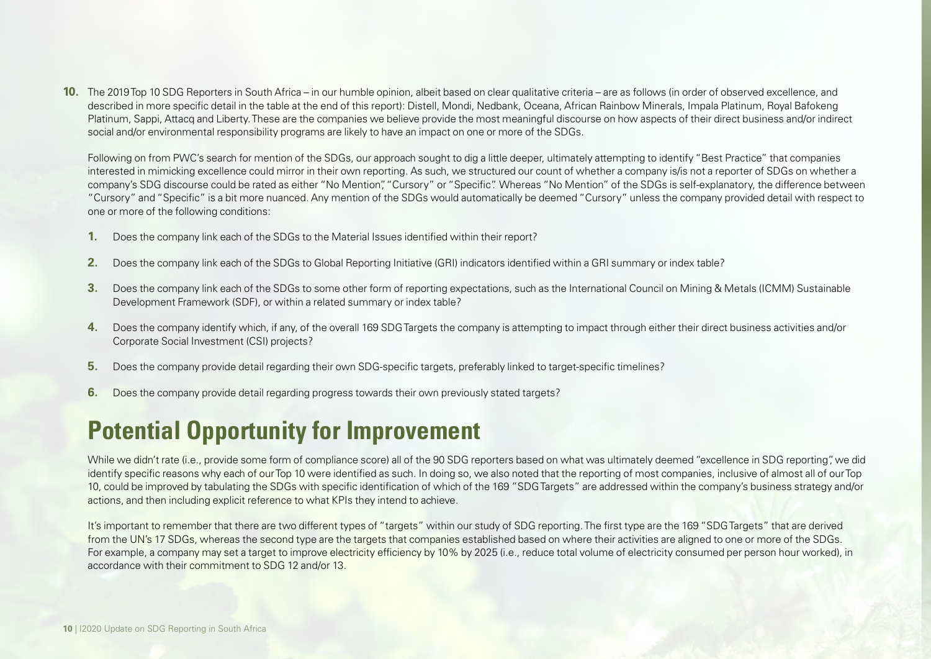**10.** The 2019 Top 10 SDG Reporters in South Africa – in our humble opinion, albeit based on clear qualitative criteria – are as follows (in order of observed excellence, and described in more specific detail in the table at the end of this report): Distell, Mondi, Nedbank, Oceana, African Rainbow Minerals, Impala Platinum, Royal Bafokeng Platinum, Sappi, Attacq and Liberty. These are the companies we believe provide the most meaningful discourse on how aspects of their direct business and/or indirect social and/or environmental responsibility programs are likely to have an impact on one or more of the SDGs.

Following on from PWC's search for mention of the SDGs, our approach sought to dig a little deeper, ultimately attempting to identify "Best Practice" that companies interested in mimicking excellence could mirror in their own reporting. As such, we structured our count of whether a company is/is not a reporter of SDGs on whether a company's SDG discourse could be rated as either "No Mention", "Cursory" or "Specific". Whereas "No Mention" of the SDGs is self-explanatory, the difference between "Cursory" and "Specific" is a bit more nuanced. Any mention of the SDGs would automatically be deemed "Cursory" unless the company provided detail with respect to one or more of the following conditions:

- **1.** Does the company link each of the SDGs to the Material Issues identified within their report?
- **2.** Does the company link each of the SDGs to Global Reporting Initiative (GRI) indicators identified within a GRI summary or index table?
- **3.** Does the company link each of the SDGs to some other form of reporting expectations, such as the International Council on Mining & Metals (ICMM) Sustainable Development Framework (SDF), or within a related summary or index table?
- **4.** Does the company identify which, if any, of the overall 169 SDG Targets the company is attempting to impact through either their direct business activities and/or Corporate Social Investment (CSI) projects?
- **5.** Does the company provide detail regarding their own SDG-specific targets, preferably linked to target-specific timelines?
- **6.** Does the company provide detail regarding progress towards their own previously stated targets?

## **Potential Opportunity for Improvement**

While we didn't rate (i.e., provide some form of compliance score) all of the 90 SDG reporters based on what was ultimately deemed "excellence in SDG reporting", we did identify specific reasons why each of our Top 10 were identified as such. In doing so, we also noted that the reporting of most companies, inclusive of almost all of our Top 10, could be improved by tabulating the SDGs with specific identification of which of the 169 "SDG Targets" are addressed within the company's business strategy and/or actions, and then including explicit reference to what KPIs they intend to achieve.

It's important to remember that there are two different types of "targets" within our study of SDG reporting. The first type are the 169 "SDG Targets" that are derived from the UN's 17 SDGs, whereas the second type are the targets that companies established based on where their activities are aligned to one or more of the SDGs. For example, a company may set a target to improve electricity efficiency by 10% by 2025 (i.e., reduce total volume of electricity consumed per person hour worked), in accordance with their commitment to SDG 12 and/or 13.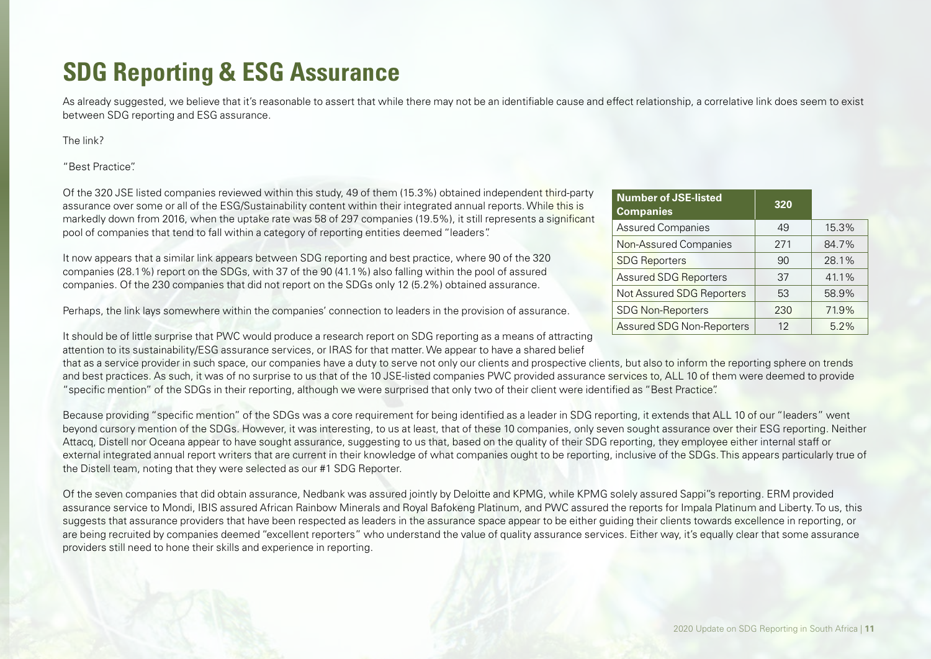## **SDG Reporting & ESG Assurance**

As already suggested, we believe that it's reasonable to assert that while there may not be an identifiable cause and effect relationship, a correlative link does seem to exist between SDG reporting and ESG assurance.

The link?

"Best Practice".

Of the 320 JSE listed companies reviewed within this study, 49 of them (15.3%) obtained independent third-party assurance over some or all of the ESG/Sustainability content within their integrated annual reports. While this is markedly down from 2016, when the uptake rate was 58 of 297 companies (19.5%), it still represents a significant pool of companies that tend to fall within a category of reporting entities deemed "leaders".

It now appears that a similar link appears between SDG reporting and best practice, where 90 of the 320 companies (28.1%) report on the SDGs, with 37 of the 90 (41.1%) also falling within the pool of assured companies. Of the 230 companies that did not report on the SDGs only 12 (5.2%) obtained assurance.

Perhaps, the link lays somewhere within the companies' connection to leaders in the provision of assurance.

It should be of little surprise that PWC would produce a research report on SDG reporting as a means of attracting attention to its sustainability/ESG assurance services, or IRAS for that matter. We appear to have a shared belief

that as a service provider in such space, our companies have a duty to serve not only our clients and prospective clients, but also to inform the reporting sphere on trends and best practices. As such, it was of no surprise to us that of the 10 JSE-listed companies PWC provided assurance services to, ALL 10 of them were deemed to provide "specific mention" of the SDGs in their reporting, although we were surprised that only two of their client were identified as "Best Practice".

Because providing "specific mention" of the SDGs was a core requirement for being identified as a leader in SDG reporting, it extends that ALL 10 of our "leaders" went beyond cursory mention of the SDGs. However, it was interesting, to us at least, that of these 10 companies, only seven sought assurance over their ESG reporting. Neither Attacq, Distell nor Oceana appear to have sought assurance, suggesting to us that, based on the quality of their SDG reporting, they employee either internal staff or external integrated annual report writers that are current in their knowledge of what companies ought to be reporting, inclusive of the SDGs. This appears particularly true of the Distell team, noting that they were selected as our #1 SDG Reporter.

Of the seven companies that did obtain assurance, Nedbank was assured jointly by Deloitte and KPMG, while KPMG solely assured Sappi''s reporting. ERM provided assurance service to Mondi, IBIS assured African Rainbow Minerals and Royal Bafokeng Platinum, and PWC assured the reports for Impala Platinum and Liberty. To us, this suggests that assurance providers that have been respected as leaders in the assurance space appear to be either guiding their clients towards excellence in reporting, or are being recruited by companies deemed "excellent reporters" who understand the value of quality assurance services. Either way, it's equally clear that some assurance providers still need to hone their skills and experience in reporting.

| <b>Number of JSE-listed</b><br><b>Companies</b> | 320 |       |
|-------------------------------------------------|-----|-------|
| <b>Assured Companies</b>                        | 49  | 15.3% |
| Non-Assured Companies                           | 271 | 84.7% |
| <b>SDG Reporters</b>                            | 90  | 28.1% |
| <b>Assured SDG Reporters</b>                    | 37  | 41.1% |
| Not Assured SDG Reporters                       | 53  | 58.9% |
| <b>SDG Non-Reporters</b>                        | 230 | 71.9% |
| <b>Assured SDG Non-Reporters</b>                | 12  | 5.2%  |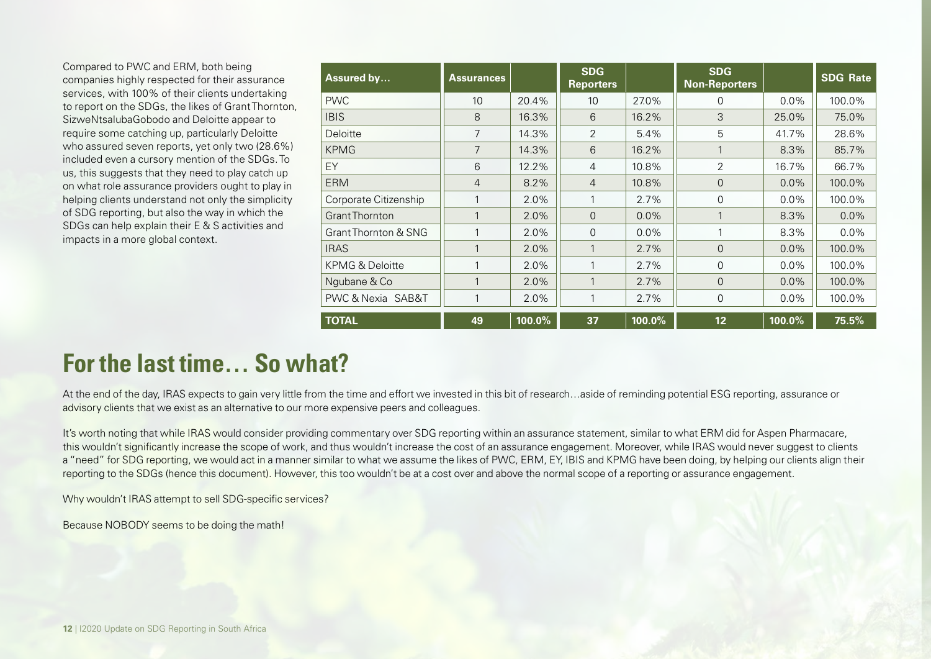Compared to PWC and ERM, both being companies highly respected for their assurance services, with 100% of their clients undertaking to report on the SDGs, the likes of Grant Thornton, SizweNtsalubaGobodo and Deloitte appear to require some catching up, particularly Deloitte who assured seven reports, yet only two (28.6%) included even a cursory mention of the SDGs. To us, this suggests that they need to play catch up on what role assurance providers ought to play in helping clients understand not only the simplicity of SDG reporting, but also the way in which the SDGs can help explain their E & S activities and impacts in a more global context.

| Assured by                      | <b>Assurances</b> |           | <b>SDG</b><br><b>Reporters</b> |         | <b>SDG</b><br><b>Non-Reporters</b> |         | <b>SDG Rate</b> |
|---------------------------------|-------------------|-----------|--------------------------------|---------|------------------------------------|---------|-----------------|
| <b>PWC</b>                      | 10                | 20.4%     | 10                             | 27.0%   | $\Omega$                           | $0.0\%$ | 100.0%          |
| <b>IBIS</b>                     | 8                 | 16.3%     | 6                              | 16.2%   | 3                                  | 25.0%   | 75.0%           |
| Deloitte                        | $\overline{7}$    | 14.3%     | 2                              | 5.4%    | 5                                  | 41.7%   | 28.6%           |
| <b>KPMG</b>                     | $\overline{7}$    | 14.3%     | 6                              | 16.2%   | 1                                  | 8.3%    | 85.7%           |
| EY                              | 6                 | 12.2%     | $\overline{4}$                 | 10.8%   | $\overline{2}$                     | 16.7%   | 66.7%           |
| <b>ERM</b>                      | $\overline{4}$    | 8.2%      | $\overline{4}$                 | 10.8%   | $\overline{0}$                     | $0.0\%$ | 100.0%          |
| Corporate Citizenship           |                   | 2.0%      | 1                              | 2.7%    | $\Omega$                           | $0.0\%$ | 100.0%          |
| <b>Grant Thornton</b>           |                   | 2.0%      | $\Omega$                       | $0.0\%$ | 1                                  | 8.3%    | $0.0\%$         |
| <b>Grant Thornton &amp; SNG</b> |                   | 2.0%      | $\Omega$                       | $0.0\%$ | 1                                  | 8.3%    | $0.0\%$         |
| <b>IRAS</b>                     |                   | 2.0%      | 1                              | 2.7%    | $\overline{0}$                     | 0.0%    | 100.0%          |
| <b>KPMG &amp; Deloitte</b>      |                   | 2.0%      | 1                              | 2.7%    | $\Omega$                           | 0.0%    | 100.0%          |
| Ngubane & Co                    | 1                 | 2.0%      | 1                              | 2.7%    | $\Omega$                           | 0.0%    | 100.0%          |
| PWC & Nexia SAB&T               |                   | 2.0%      | 1                              | 2.7%    | 0                                  | $0.0\%$ | 100.0%          |
| <b>TOTAL</b>                    | 49                | $100.0\%$ | 37                             | 100.0%  | 12 <sub>2</sub>                    | 100.0%  | 75.5%           |

## **For the last time… So what?**

At the end of the day, IRAS expects to gain very little from the time and effort we invested in this bit of research…aside of reminding potential ESG reporting, assurance or advisory clients that we exist as an alternative to our more expensive peers and colleagues.

It's worth noting that while IRAS would consider providing commentary over SDG reporting within an assurance statement, similar to what ERM did for Aspen Pharmacare, this wouldn't significantly increase the scope of work, and thus wouldn't increase the cost of an assurance engagement. Moreover, while IRAS would never suggest to clients a "need" for SDG reporting, we would act in a manner similar to what we assume the likes of PWC, ERM, EY, IBIS and KPMG have been doing, by helping our clients align their reporting to the SDGs (hence this document). However, this too wouldn't be at a cost over and above the normal scope of a reporting or assurance engagement.

Why wouldn't IRAS attempt to sell SDG-specific services?

Because NOBODY seems to be doing the math!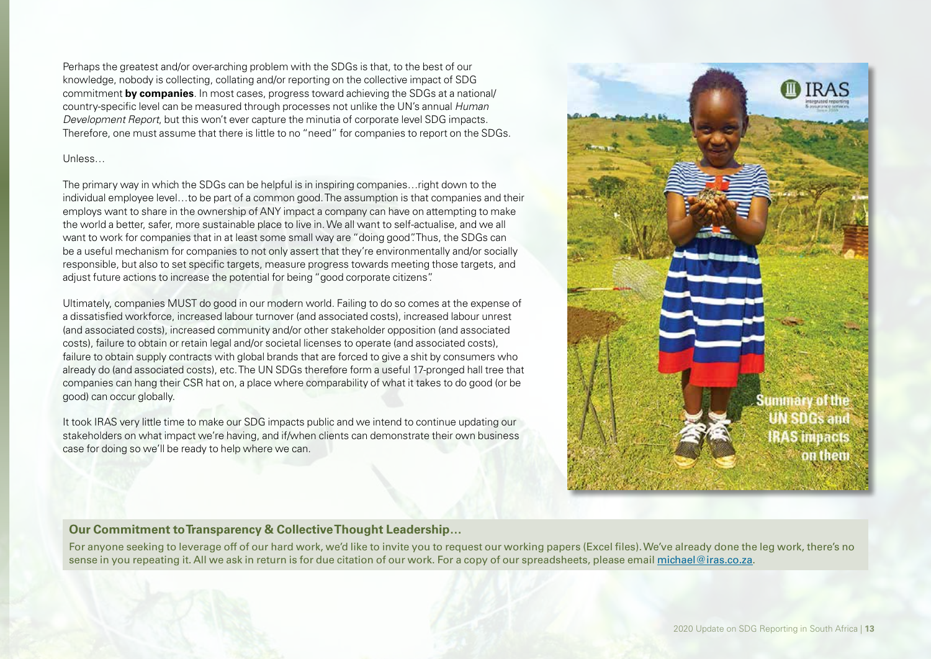Perhaps the greatest and/or over-arching problem with the SDGs is that, to the best of our knowledge, nobody is collecting, collating and/or reporting on the collective impact of SDG commitment **by companies**. In most cases, progress toward achieving the SDGs at a national/ country-specific level can be measured through processes not unlike the UN's annual *Human Development Report*, but this won't ever capture the minutia of corporate level SDG impacts. Therefore, one must assume that there is little to no "need" for companies to report on the SDGs.

### Unless…

The primary way in which the SDGs can be helpful is in inspiring companies…right down to the individual employee level…to be part of a common good. The assumption is that companies and their employs want to share in the ownership of ANY impact a company can have on attempting to make the world a better, safer, more sustainable place to live in. We all want to self-actualise, and we all want to work for companies that in at least some small way are "doing good". Thus, the SDGs can be a useful mechanism for companies to not only assert that they're environmentally and/or socially responsible, but also to set specific targets, measure progress towards meeting those targets, and adjust future actions to increase the potential for being "good corporate citizens".

Ultimately, companies MUST do good in our modern world. Failing to do so comes at the expense of a dissatisfied workforce, increased labour turnover (and associated costs), increased labour unrest (and associated costs), increased community and/or other stakeholder opposition (and associated costs), failure to obtain or retain legal and/or societal licenses to operate (and associated costs), failure to obtain supply contracts with global brands that are forced to give a shit by consumers who already do (and associated costs), etc. The UN SDGs therefore form a useful 17-pronged hall tree that companies can hang their CSR hat on, a place where comparability of what it takes to do good (or be good) can occur globally.

It took IRAS very little time to make our SDG impacts public and we intend to continue updating our stakeholders on what impact we're having, and if/when clients can demonstrate their own business case for doing so we'll be ready to help where we can.



## **Our Commitment to Transparency & Collective Thought Leadership…**

For anyone seeking to leverage off of our hard work, we'd like to invite you to request our working papers (Excel files). We've already done the leg work, there's no sense in you repeating it. All we ask in return is for due citation of our work. For a copy of our spreadsheets, please email michael@iras.co.za.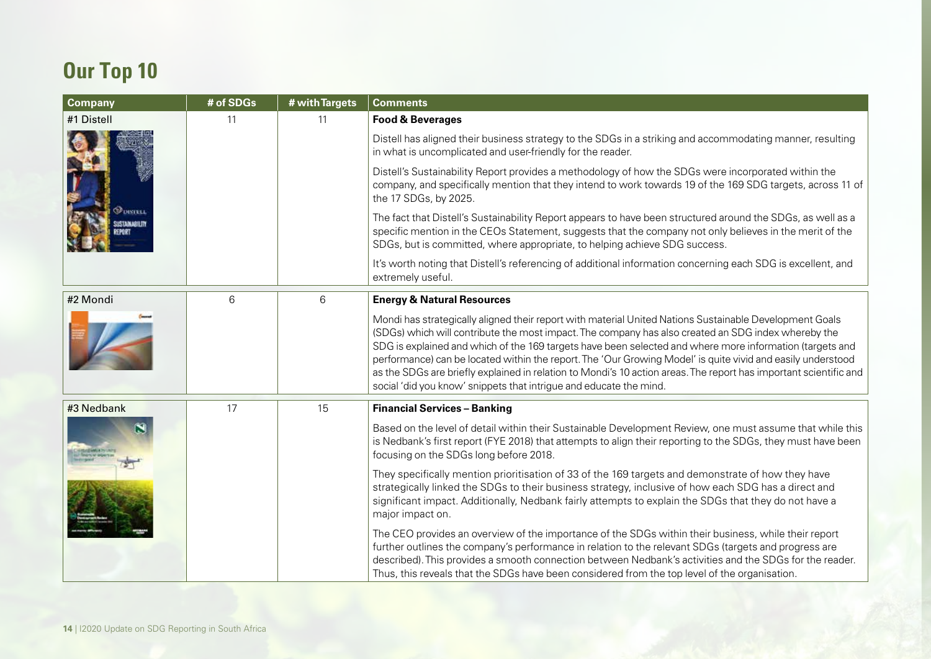## **Our Top 10**

| Company    | # of SDGs | # with Targets | <b>Comments</b>                                                                                                                                                                                                                                                                                                                                                                                                                                                                                                                                                                                                                      |
|------------|-----------|----------------|--------------------------------------------------------------------------------------------------------------------------------------------------------------------------------------------------------------------------------------------------------------------------------------------------------------------------------------------------------------------------------------------------------------------------------------------------------------------------------------------------------------------------------------------------------------------------------------------------------------------------------------|
| #1 Distell | 11        | 11             | <b>Food &amp; Beverages</b>                                                                                                                                                                                                                                                                                                                                                                                                                                                                                                                                                                                                          |
|            |           |                | Distell has aligned their business strategy to the SDGs in a striking and accommodating manner, resulting<br>in what is uncomplicated and user-friendly for the reader.                                                                                                                                                                                                                                                                                                                                                                                                                                                              |
|            |           |                | Distell's Sustainability Report provides a methodology of how the SDGs were incorporated within the<br>company, and specifically mention that they intend to work towards 19 of the 169 SDG targets, across 11 of<br>the 17 SDGs, by 2025.                                                                                                                                                                                                                                                                                                                                                                                           |
| DISTELL    |           |                | The fact that Distell's Sustainability Report appears to have been structured around the SDGs, as well as a<br>specific mention in the CEOs Statement, suggests that the company not only believes in the merit of the<br>SDGs, but is committed, where appropriate, to helping achieve SDG success.                                                                                                                                                                                                                                                                                                                                 |
|            |           |                | It's worth noting that Distell's referencing of additional information concerning each SDG is excellent, and<br>extremely useful.                                                                                                                                                                                                                                                                                                                                                                                                                                                                                                    |
| #2 Mondi   | 6         | 6              | <b>Energy &amp; Natural Resources</b>                                                                                                                                                                                                                                                                                                                                                                                                                                                                                                                                                                                                |
|            |           |                | Mondi has strategically aligned their report with material United Nations Sustainable Development Goals<br>(SDGs) which will contribute the most impact. The company has also created an SDG index whereby the<br>SDG is explained and which of the 169 targets have been selected and where more information (targets and<br>performance) can be located within the report. The 'Our Growing Model' is quite vivid and easily understood<br>as the SDGs are briefly explained in relation to Mondi's 10 action areas. The report has important scientific and<br>social 'did you know' snippets that intrigue and educate the mind. |
| #3 Nedbank | 17        | 15             | <b>Financial Services - Banking</b>                                                                                                                                                                                                                                                                                                                                                                                                                                                                                                                                                                                                  |
|            |           |                | Based on the level of detail within their Sustainable Development Review, one must assume that while this<br>is Nedbank's first report (FYE 2018) that attempts to align their reporting to the SDGs, they must have been<br>focusing on the SDGs long before 2018.                                                                                                                                                                                                                                                                                                                                                                  |
|            |           |                | They specifically mention prioritisation of 33 of the 169 targets and demonstrate of how they have<br>strategically linked the SDGs to their business strategy, inclusive of how each SDG has a direct and<br>significant impact. Additionally, Nedbank fairly attempts to explain the SDGs that they do not have a<br>major impact on.                                                                                                                                                                                                                                                                                              |
|            |           |                | The CEO provides an overview of the importance of the SDGs within their business, while their report<br>further outlines the company's performance in relation to the relevant SDGs (targets and progress are<br>described). This provides a smooth connection between Nedbank's activities and the SDGs for the reader.<br>Thus, this reveals that the SDGs have been considered from the top level of the organisation.                                                                                                                                                                                                            |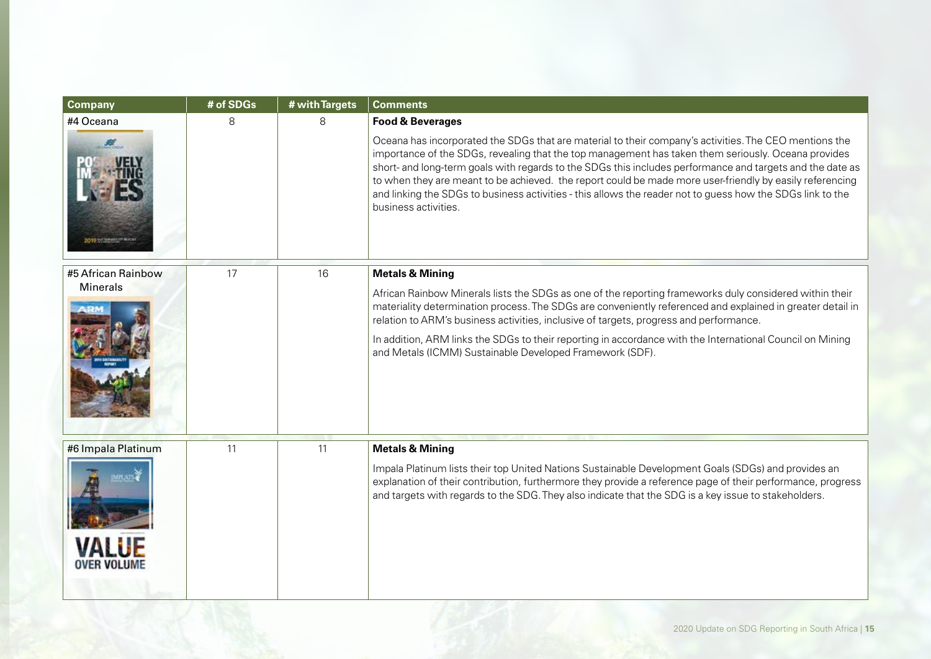| # of SDGs | # with Targets | <b>Comments</b>                                                                                                                                                                                                                                                                                                                                                                                                                                                                                                                                                              |
|-----------|----------------|------------------------------------------------------------------------------------------------------------------------------------------------------------------------------------------------------------------------------------------------------------------------------------------------------------------------------------------------------------------------------------------------------------------------------------------------------------------------------------------------------------------------------------------------------------------------------|
| 8         | 8              | <b>Food &amp; Beverages</b>                                                                                                                                                                                                                                                                                                                                                                                                                                                                                                                                                  |
|           |                | Oceana has incorporated the SDGs that are material to their company's activities. The CEO mentions the<br>importance of the SDGs, revealing that the top management has taken them seriously. Oceana provides<br>short- and long-term goals with regards to the SDGs this includes performance and targets and the date as<br>to when they are meant to be achieved. the report could be made more user-friendly by easily referencing<br>and linking the SDGs to business activities - this allows the reader not to guess how the SDGs link to the<br>business activities. |
| 17        | 16             | <b>Metals &amp; Mining</b>                                                                                                                                                                                                                                                                                                                                                                                                                                                                                                                                                   |
|           |                | African Rainbow Minerals lists the SDGs as one of the reporting frameworks duly considered within their<br>materiality determination process. The SDGs are conveniently referenced and explained in greater detail in<br>relation to ARM's business activities, inclusive of targets, progress and performance.                                                                                                                                                                                                                                                              |
|           |                | In addition, ARM links the SDGs to their reporting in accordance with the International Council on Mining<br>and Metals (ICMM) Sustainable Developed Framework (SDF).                                                                                                                                                                                                                                                                                                                                                                                                        |
| 11        | 11             | <b>Metals &amp; Mining</b>                                                                                                                                                                                                                                                                                                                                                                                                                                                                                                                                                   |
|           |                | Impala Platinum lists their top United Nations Sustainable Development Goals (SDGs) and provides an<br>explanation of their contribution, furthermore they provide a reference page of their performance, progress<br>and targets with regards to the SDG. They also indicate that the SDG is a key issue to stakeholders.                                                                                                                                                                                                                                                   |
|           |                |                                                                                                                                                                                                                                                                                                                                                                                                                                                                                                                                                                              |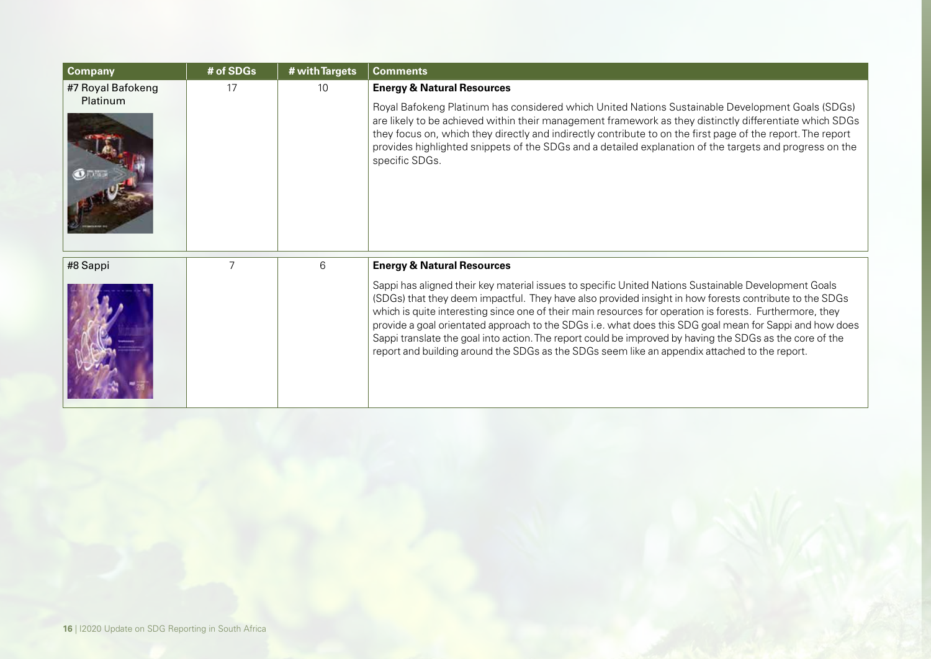| <b>Company</b>    | # of SDGs | # with Targets | <b>Comments</b>                                                                                                                                                                                                                                                                                                                                                                                                                                                                                                                                                                                                                                    |
|-------------------|-----------|----------------|----------------------------------------------------------------------------------------------------------------------------------------------------------------------------------------------------------------------------------------------------------------------------------------------------------------------------------------------------------------------------------------------------------------------------------------------------------------------------------------------------------------------------------------------------------------------------------------------------------------------------------------------------|
| #7 Royal Bafokeng | 17        | 10             | <b>Energy &amp; Natural Resources</b>                                                                                                                                                                                                                                                                                                                                                                                                                                                                                                                                                                                                              |
| Platinum          |           |                | Royal Bafokeng Platinum has considered which United Nations Sustainable Development Goals (SDGs)<br>are likely to be achieved within their management framework as they distinctly differentiate which SDGs<br>they focus on, which they directly and indirectly contribute to on the first page of the report. The report<br>provides highlighted snippets of the SDGs and a detailed explanation of the targets and progress on the<br>specific SDGs.                                                                                                                                                                                            |
| #8 Sappi          |           | 6              | <b>Energy &amp; Natural Resources</b>                                                                                                                                                                                                                                                                                                                                                                                                                                                                                                                                                                                                              |
|                   |           |                | Sappi has aligned their key material issues to specific United Nations Sustainable Development Goals<br>(SDGs) that they deem impactful. They have also provided insight in how forests contribute to the SDGs<br>which is quite interesting since one of their main resources for operation is forests. Furthermore, they<br>provide a goal orientated approach to the SDGs i.e. what does this SDG goal mean for Sappi and how does<br>Sappi translate the goal into action. The report could be improved by having the SDGs as the core of the<br>report and building around the SDGs as the SDGs seem like an appendix attached to the report. |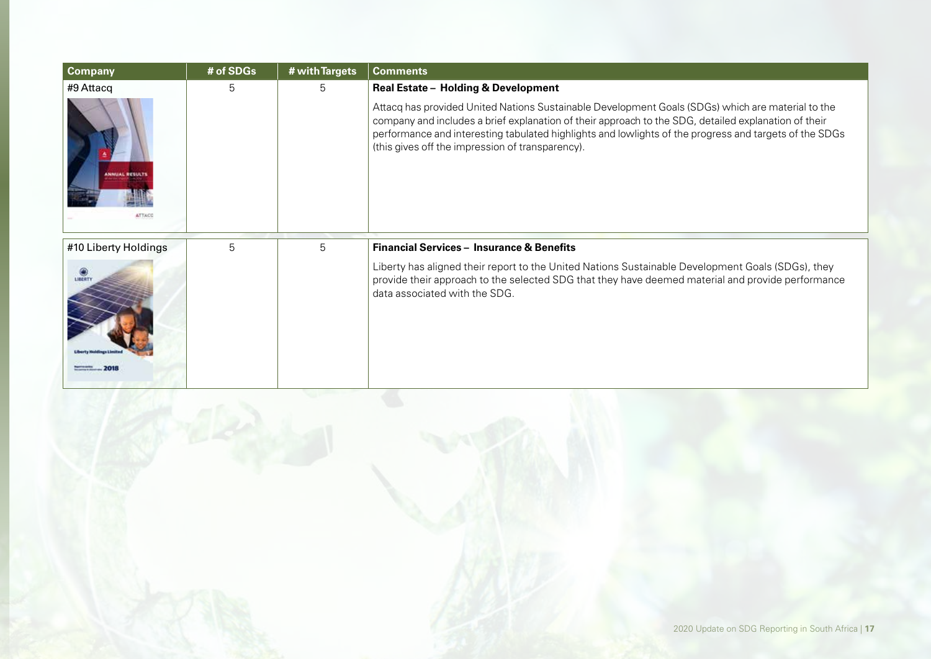| <b>Company</b>                  | # of SDGs | # with Targets | <b>Comments</b>                                                                                                                                                                                                                                                                                                                                                         |
|---------------------------------|-----------|----------------|-------------------------------------------------------------------------------------------------------------------------------------------------------------------------------------------------------------------------------------------------------------------------------------------------------------------------------------------------------------------------|
| #9 Attacq                       | 5         | 5              | Real Estate - Holding & Development                                                                                                                                                                                                                                                                                                                                     |
| <b>INNUAL RESULTS</b><br>ATTACO |           |                | Attacq has provided United Nations Sustainable Development Goals (SDGs) which are material to the<br>company and includes a brief explanation of their approach to the SDG, detailed explanation of their<br>performance and interesting tabulated highlights and lowlights of the progress and targets of the SDGs<br>(this gives off the impression of transparency). |
| #10 Liberty Holdings            | 5         | 5              | <b>Financial Services - Insurance &amp; Benefits</b>                                                                                                                                                                                                                                                                                                                    |
| LIBERTY                         |           |                | Liberty has aligned their report to the United Nations Sustainable Development Goals (SDGs), they<br>provide their approach to the selected SDG that they have deemed material and provide performance<br>data associated with the SDG.                                                                                                                                 |